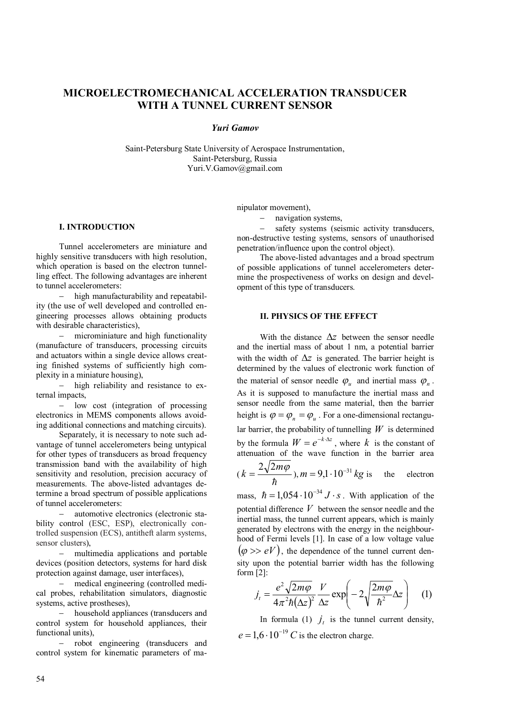# **MICROELECTROMECHANICAL ACCELERATION TRANSDUCER WITH A TUNNEL CURRENT SENSOR**

# *Yuri Gamov*

Saint-Petersburg State University of Aerospace Instrumentation, Saint-Petersburg, Russia Yuri.V.Gamov@gmail.com

**I. INTRODUCTION**

Tunnel accelerometers are miniature and highly sensitive transducers with high resolution, which operation is based on the electron tunnelling effect. The following advantages are inherent to tunnel accelerometers:

- high manufacturability and repeatability (the use of well developed and controlled engineering processes allows obtaining products with desirable characteristics),

 microminiature and high functionality (manufacture of transducers, processing circuits and actuators within a single device allows creating finished systems of sufficiently high complexity in a miniature housing),

- high reliability and resistance to external impacts,

 $\overline{\phantom{a}}$  low cost (integration of processing electronics in MEMS components allows avoiding additional connections and matching circuits).

Separately, it is necessary to note such advantage of tunnel accelerometers being untypical for other types of transducers as broad frequency transmission band with the availability of high sensitivity and resolution, precision accuracy of measurements. The above-listed advantages determine a broad spectrum of possible applications of tunnel accelerometers:

 automotive electronics (electronic stability control (ESC, ESP), electronically controlled suspension (ECS), antitheft alarm systems, sensor clusters),

 multimedia applications and portable devices (position detectors, systems for hard disk protection against damage, user interfaces),

 medical engineering (controlled medical probes, rehabilitation simulators, diagnostic systems, active prostheses),

 household appliances (transducers and control system for household appliances, their functional units),

 robot engineering (transducers and control system for kinematic parameters of manipulator movement),

- navigation systems,

- safety systems (seismic activity transducers, non-destructive testing systems, sensors of unauthorised penetration/influence upon the control object).

The above-listed advantages and a broad spectrum of possible applications of tunnel accelerometers determine the prospectiveness of works on design and development of this type of transducers.

# **II. PHYSICS OF THE EFFECT**

With the distance  $\Delta z$  between the sensor needle and the inertial mass of about 1 nm, a potential barrier with the width of  $\Delta z$  is generated. The barrier height is determined by the values of electronic work function of the material of sensor needle  $\varphi_u$  and inertial mass  $\varphi_n$ . As it is supposed to manufacture the inertial mass and sensor needle from the same material, then the barrier height is  $\varphi = \varphi_n = \varphi_u$ . For a one-dimensional rectangular barrier, the probability of tunnelling  $W$  is determined by the formula  $W = e^{-k \cdot \Delta z}$ , where *k* is the constant of attenuation of the wave function in the barrier area

$$
(k = \frac{2\sqrt{2m\varphi}}{\hbar}), m = 9,1 \cdot 10^{-31} \text{ kg is the electron}
$$

mass,  $\hbar = 1.054 \cdot 10^{-34} J \cdot s$ . With application of the potential difference *V* between the sensor needle and the inertial mass, the tunnel current appears, which is mainly generated by electrons with the energy in the neighbourhood of Fermi levels [1]. In case of a low voltage value  $(\varphi \gg eV)$ , the dependence of the tunnel current density upon the potential barrier width has the following form [2]:

$$
j_t = \frac{e^2 \sqrt{2m\varphi}}{4\pi^2 \hbar (\Delta z)^2} \frac{V}{\Delta z} \exp\left(-2\sqrt{\frac{2m\varphi}{\hbar^2}} \Delta z\right) \quad (1)
$$

In formula (1)  $j_t$  is the tunnel current density,  $e = 1.6 \cdot 10^{-19} C$  is the electron charge.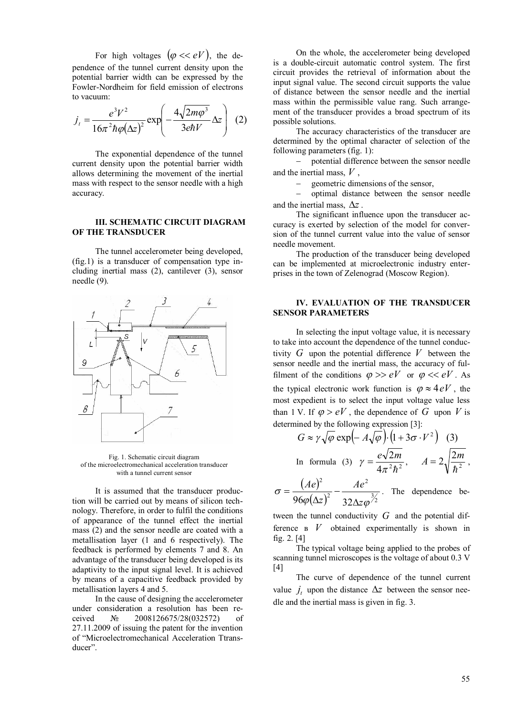For high voltages  $(\varphi \ll eV)$ , the dependence of the tunnel current density upon the potential barrier width can be expressed by the Fowler-Nordheim for field emission of electrons to vacuum:

$$
j_t = \frac{e^3 V^2}{16\pi^2 \hbar \varphi(\Delta z)^2} \exp\left(-\frac{4\sqrt{2m\varphi^3}}{3e\hbar V}\Delta z\right) (2)
$$

The exponential dependence of the tunnel current density upon the potential barrier width allows determining the movement of the inertial mass with respect to the sensor needle with a high accuracy.

#### **III. SCHEMATIC CIRCUIT DIAGRAM OF THE TRANSDUCER**

The tunnel accelerometer being developed, (fig.1) is a transducer of compensation type including inertial mass (2), cantilever (3), sensor needle (9).



Fig. 1. Schematic circuit diagram of the microelectromechanical acceleration transducer with a tunnel current sensor

It is assumed that the transducer production will be carried out by means of silicon technology. Therefore, in order to fulfil the conditions of appearance of the tunnel effect the inertial mass (2) and the sensor needle are coated with a metallisation layer (1 and 6 respectively). The feedback is performed by elements 7 and 8. An advantage of the transducer being developed is its adaptivity to the input signal level. It is achieved by means of a capacitive feedback provided by metallisation layers 4 and 5.

In the cause of designing the accelerometer under consideration a resolution has been received № 2008126675/28(032572) of 27.11.2009 of issuing the patent for the invention of "Microelectromechanical Acceleration Ttransducer".

On the whole, the accelerometer being developed is a double-circuit automatic control system. The first circuit provides the retrieval of information about the input signal value. The second circuit supports the value of distance between the sensor needle and the inertial mass within the permissible value rang. Such arrangement of the transducer provides a broad spectrum of its possible solutions.

The accuracy characteristics of the transducer are determined by the optimal character of selection of the following parameters (fig. 1):

 potential difference between the sensor needle and the inertial mass, *V* ,

- geometric dimensions of the sensor,

 optimal distance between the sensor needle and the inertial mass,  $\Delta z$ .

The significant influence upon the transducer accuracy is exerted by selection of the model for conversion of the tunnel current value into the value of sensor needle movement.

The production of the transducer being developed can be implemented at microelectronic industry enterprises in the town of Zelenograd (Moscow Region).

### **IV. EVALUATION OF THE TRANSDUCER SENSOR PARAMETERS**

In selecting the input voltage value, it is necessary to take into account the dependence of the tunnel conductivity  $G$  upon the potential difference  $V$  between the sensor needle and the inertial mass, the accuracy of fulfilment of the conditions  $\varphi >> eV$  or  $\varphi << eV$ . As the typical electronic work function is  $\varphi \approx 4eV$ , the most expedient is to select the input voltage value less than 1 V. If  $\varphi > eV$ , the dependence of *G* upon *V* is determined by the following expression [3]:

$$
G \approx \gamma \sqrt{\varphi} \exp\left(-\overline{A}\sqrt{\varphi}\right) \cdot \left(1 + 3\sigma \cdot V^2\right) \quad (3)
$$
  
In formula (3) 
$$
\gamma = \frac{e\sqrt{2m}}{4\pi^2 \hbar^2}, \qquad A = 2\sqrt{\frac{2m}{\hbar^2}},
$$

 $(Ae)^t$  $(\Delta z)^2$  32 $\Delta z \omega^{3/2}$ 2  $\sigma = \frac{1}{96\varphi(\Delta z)^2} - \frac{1}{32\Delta z\varphi}$ *z Ae z Ae*  $\Delta$ - $\Delta$  $=\frac{(120)}{(120-1)^2}$  -  $\frac{120}{(120-1)^2}$ . The dependence be-

tween the tunnel conductivity *G* and the potential difference в *V* obtained experimentally is shown in fig. 2. [4]

The typical voltage being applied to the probes of scanning tunnel microscopes is the voltage of about 0.3 V [4]

The curve of dependence of the tunnel current value  $j_t$  upon the distance  $\Delta z$  between the sensor needle and the inertial mass is given in fig. 3.